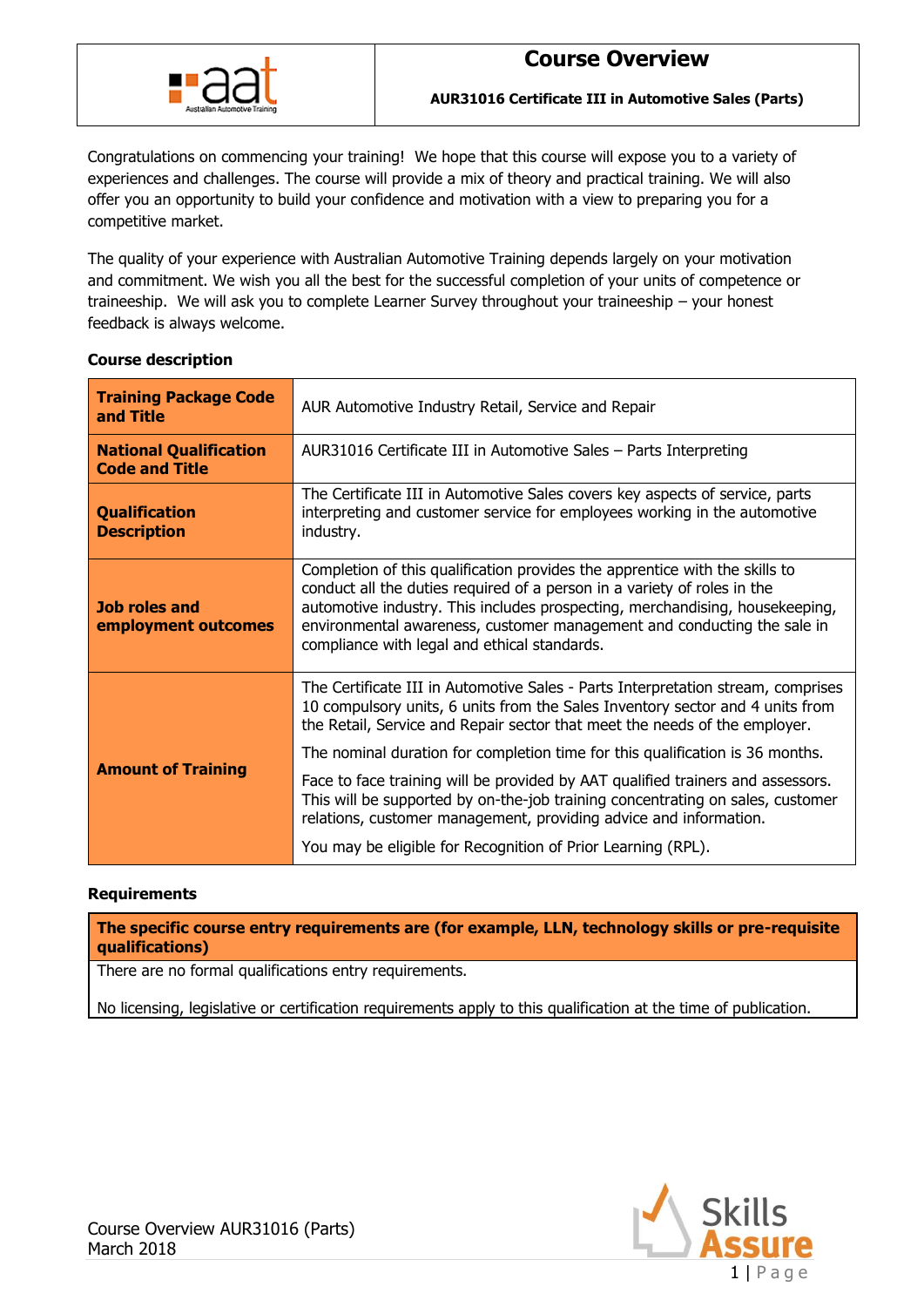

Congratulations on commencing your training! We hope that this course will expose you to a variety of experiences and challenges. The course will provide a mix of theory and practical training. We will also offer you an opportunity to build your confidence and motivation with a view to preparing you for a competitive market.

The quality of your experience with Australian Automotive Training depends largely on your motivation and commitment. We wish you all the best for the successful completion of your units of competence or traineeship. We will ask you to complete Learner Survey throughout your traineeship – your honest feedback is always welcome.

| <b>Training Package Code</b><br>and Title              | AUR Automotive Industry Retail, Service and Repair                                                                                                                                                                                                                                                                                                                 |  |  |  |
|--------------------------------------------------------|--------------------------------------------------------------------------------------------------------------------------------------------------------------------------------------------------------------------------------------------------------------------------------------------------------------------------------------------------------------------|--|--|--|
| <b>National Qualification</b><br><b>Code and Title</b> | AUR31016 Certificate III in Automotive Sales - Parts Interpreting                                                                                                                                                                                                                                                                                                  |  |  |  |
| <b>Qualification</b><br><b>Description</b>             | The Certificate III in Automotive Sales covers key aspects of service, parts<br>interpreting and customer service for employees working in the automotive<br>industry.                                                                                                                                                                                             |  |  |  |
| <b>Job roles and</b><br>employment outcomes            | Completion of this qualification provides the apprentice with the skills to<br>conduct all the duties required of a person in a variety of roles in the<br>automotive industry. This includes prospecting, merchandising, housekeeping,<br>environmental awareness, customer management and conducting the sale in<br>compliance with legal and ethical standards. |  |  |  |
|                                                        | The Certificate III in Automotive Sales - Parts Interpretation stream, comprises<br>10 compulsory units, 6 units from the Sales Inventory sector and 4 units from<br>the Retail, Service and Repair sector that meet the needs of the employer.                                                                                                                    |  |  |  |
|                                                        | The nominal duration for completion time for this qualification is 36 months.                                                                                                                                                                                                                                                                                      |  |  |  |
| <b>Amount of Training</b>                              | Face to face training will be provided by AAT qualified trainers and assessors.<br>This will be supported by on-the-job training concentrating on sales, customer<br>relations, customer management, providing advice and information.                                                                                                                             |  |  |  |
|                                                        | You may be eligible for Recognition of Prior Learning (RPL).                                                                                                                                                                                                                                                                                                       |  |  |  |

## **Course description**

### **Requirements**

**The specific course entry requirements are (for example, LLN, technology skills or pre-requisite qualifications)**

There are no formal qualifications entry requirements.

No licensing, legislative or certification requirements apply to this qualification at the time of publication.

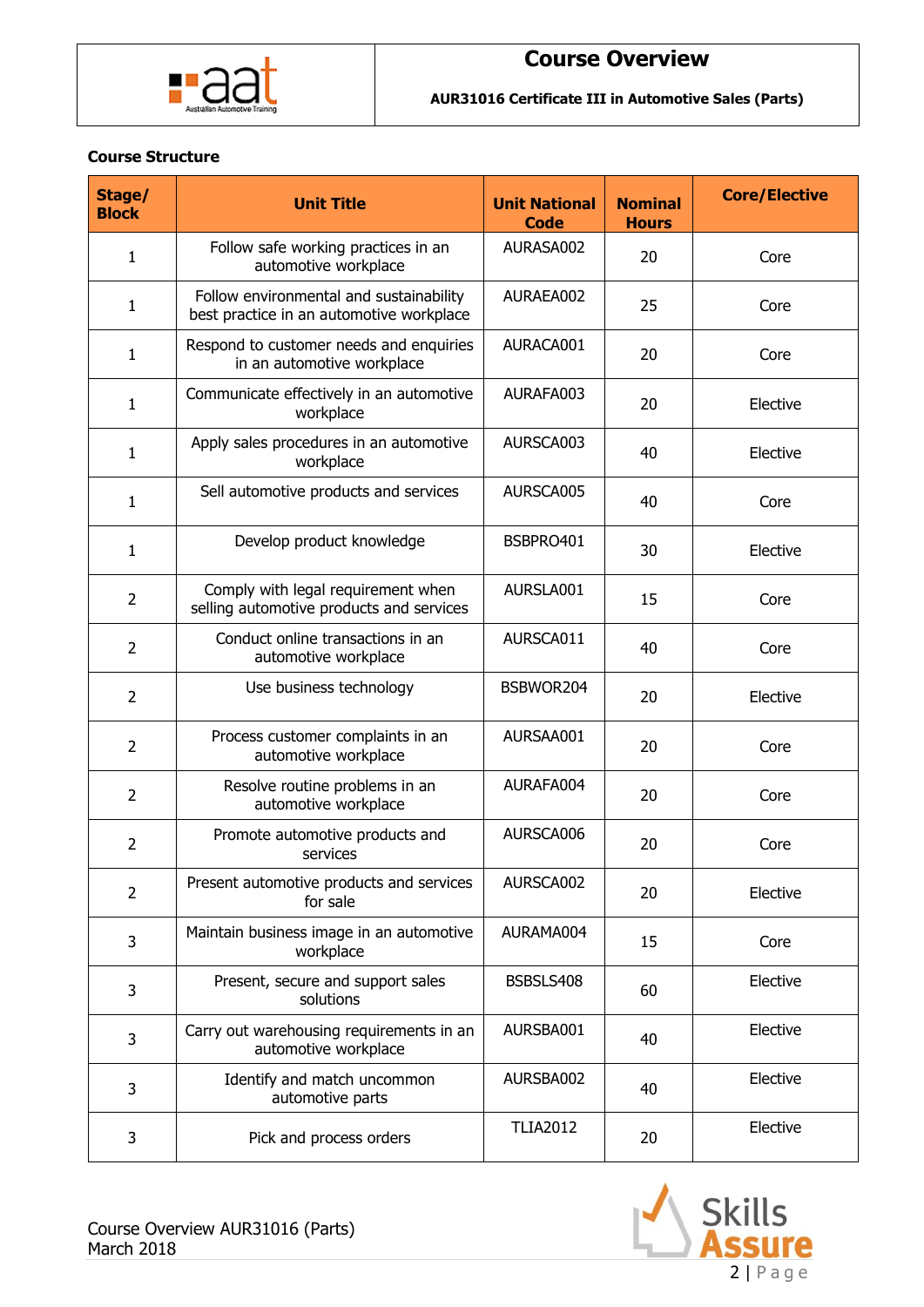

**AUR31016 Certificate III in Automotive Sales (Parts)**

### **Course Structure**

| Stage/<br><b>Block</b> | <b>Unit Title</b>                                                                   | <b>Unit National</b><br><b>Code</b> | <b>Nominal</b><br><b>Hours</b> | <b>Core/Elective</b> |
|------------------------|-------------------------------------------------------------------------------------|-------------------------------------|--------------------------------|----------------------|
| $\mathbf{1}$           | Follow safe working practices in an<br>automotive workplace                         | AURASA002                           | 20                             | Core                 |
| 1                      | Follow environmental and sustainability<br>best practice in an automotive workplace | AURAEA002                           | 25                             | Core                 |
| 1                      | Respond to customer needs and enquiries<br>in an automotive workplace               | AURACA001                           | 20                             | Core                 |
| 1                      | Communicate effectively in an automotive<br>workplace                               | AURAFA003                           | 20                             | Elective             |
| $\mathbf{1}$           | Apply sales procedures in an automotive<br>workplace                                | AURSCA003                           | 40                             | Elective             |
| 1                      | Sell automotive products and services                                               | AURSCA005                           | 40                             | Core                 |
| $\mathbf{1}$           | Develop product knowledge                                                           | BSBPRO401                           | 30                             | Elective             |
| 2                      | Comply with legal requirement when<br>selling automotive products and services      | AURSLA001                           | 15                             | Core                 |
| $\overline{2}$         | Conduct online transactions in an<br>automotive workplace                           | AURSCA011                           | 40                             | Core                 |
| $\overline{2}$         | Use business technology                                                             | BSBWOR204                           | 20                             | Elective             |
| $\overline{2}$         | Process customer complaints in an<br>automotive workplace                           | AURSAA001                           | 20                             | Core                 |
| $\overline{2}$         | Resolve routine problems in an<br>automotive workplace                              | AURAFA004                           | 20                             | Core                 |
| $\overline{2}$         | Promote automotive products and<br>services                                         | AURSCA006                           | 20                             | Core                 |
| $\overline{2}$         | Present automotive products and services<br>for sale                                | AURSCA002                           | 20                             | Elective             |
| 3                      | Maintain business image in an automotive<br>workplace                               | AURAMA004                           | 15                             | Core                 |
| 3                      | Present, secure and support sales<br>solutions                                      | BSBSLS408                           | 60                             | Elective             |
| 3                      | Carry out warehousing requirements in an<br>automotive workplace                    | AURSBA001                           | 40                             | Elective             |
| 3                      | Identify and match uncommon<br>automotive parts                                     | AURSBA002                           | 40                             | Elective             |
| 3                      | Pick and process orders                                                             | <b>TLIA2012</b>                     | 20                             | Elective             |

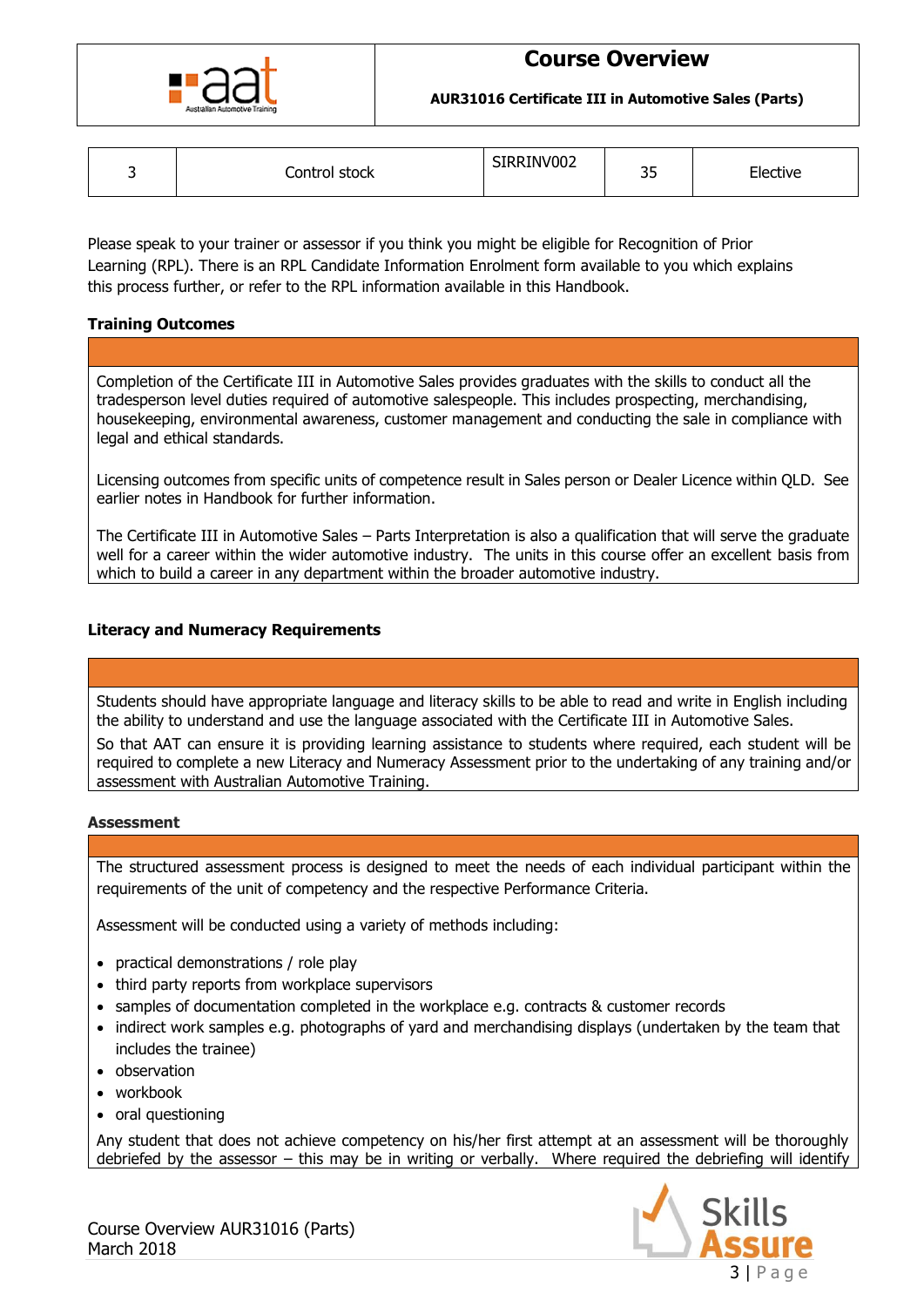

**AUR31016 Certificate III in Automotive Sales (Parts)**

| ۰ | stock<br>Control ' | SIRRINV002 | n-<br>- -<br>ر ر | -lective |
|---|--------------------|------------|------------------|----------|
|---|--------------------|------------|------------------|----------|

Please speak to your trainer or assessor if you think you might be eligible for Recognition of Prior Learning (RPL). There is an RPL Candidate Information Enrolment form available to you which explains this process further, or refer to the RPL information available in this Handbook.

## **Training Outcomes**

Completion of the Certificate III in Automotive Sales provides graduates with the skills to conduct all the tradesperson level duties required of automotive salespeople. This includes prospecting, merchandising, housekeeping, environmental awareness, customer management and conducting the sale in compliance with legal and ethical standards.

Licensing outcomes from specific units of competence result in Sales person or Dealer Licence within QLD. See earlier notes in Handbook for further information.

The Certificate III in Automotive Sales – Parts Interpretation is also a qualification that will serve the graduate well for a career within the wider automotive industry. The units in this course offer an excellent basis from which to build a career in any department within the broader automotive industry.

## **Literacy and Numeracy Requirements**

Students should have appropriate language and literacy skills to be able to read and write in English including the ability to understand and use the language associated with the Certificate III in Automotive Sales.

So that AAT can ensure it is providing learning assistance to students where required, each student will be required to complete a new Literacy and Numeracy Assessment prior to the undertaking of any training and/or assessment with Australian Automotive Training.

#### **Assessment**

The structured assessment process is designed to meet the needs of each individual participant within the requirements of the unit of competency and the respective Performance Criteria.

Assessment will be conducted using a variety of methods including:

- practical demonstrations / role play
- third party reports from workplace supervisors
- samples of documentation completed in the workplace e.g. contracts & customer records
- indirect work samples e.g. photographs of yard and merchandising displays (undertaken by the team that includes the trainee)
- observation
- workbook
- oral questioning

Any student that does not achieve competency on his/her first attempt at an assessment will be thoroughly debriefed by the assessor – this may be in writing or verbally. Where required the debriefing will identify



Course Overview AUR31016 (Parts) March 2018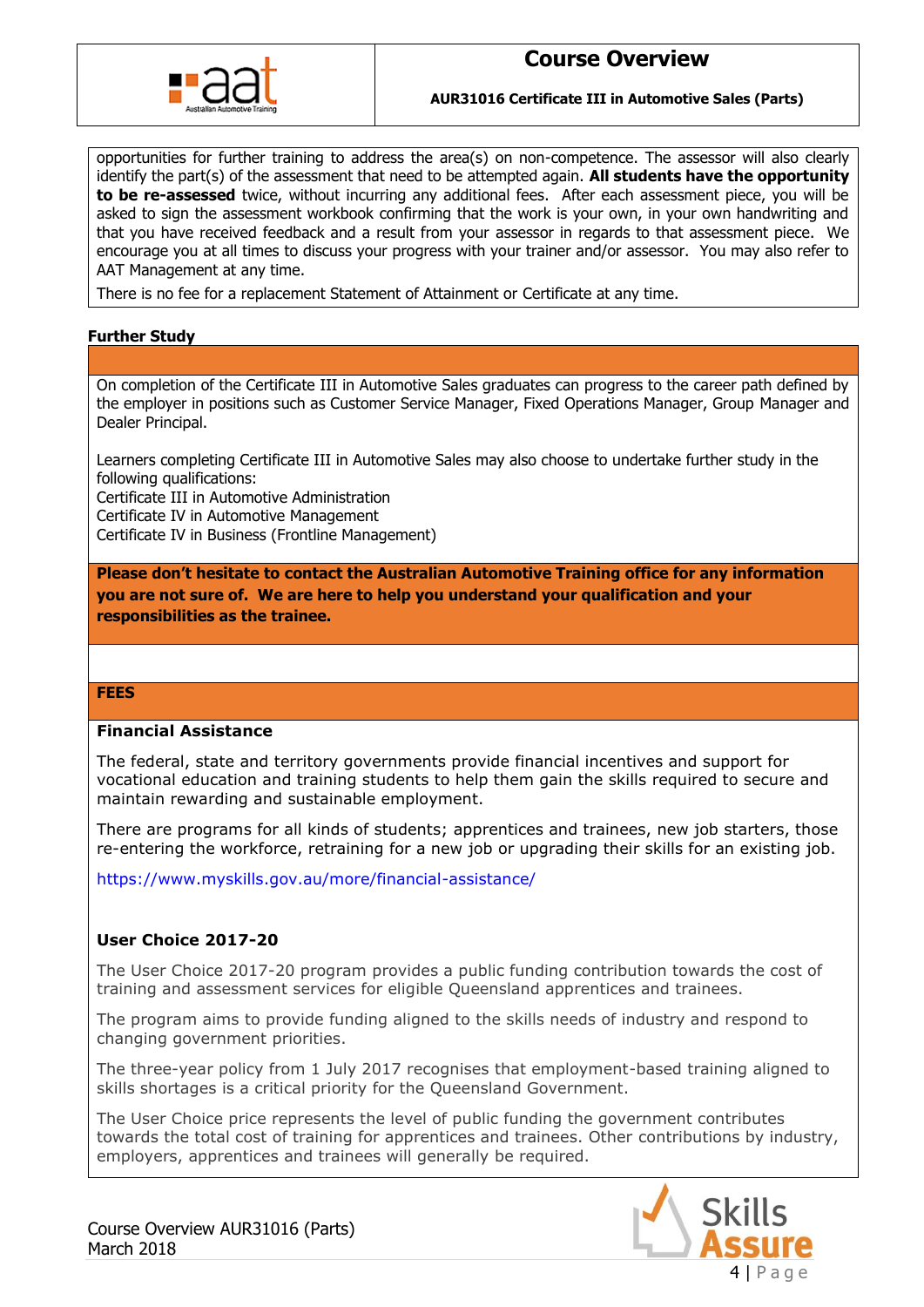

**AUR31016 Certificate III in Automotive Sales (Parts)**

opportunities for further training to address the area(s) on non-competence. The assessor will also clearly identify the part(s) of the assessment that need to be attempted again. **All students have the opportunity to be re-assessed** twice, without incurring any additional fees. After each assessment piece, you will be asked to sign the assessment workbook confirming that the work is your own, in your own handwriting and that you have received feedback and a result from your assessor in regards to that assessment piece. We encourage you at all times to discuss your progress with your trainer and/or assessor. You may also refer to AAT Management at any time.

There is no fee for a replacement Statement of Attainment or Certificate at any time.

## **Further Study**

On completion of the Certificate III in Automotive Sales graduates can progress to the career path defined by the employer in positions such as Customer Service Manager, Fixed Operations Manager, Group Manager and Dealer Principal.

Learners completing Certificate III in Automotive Sales may also choose to undertake further study in the following qualifications:

Certificate III in Automotive Administration

Certificate IV in Automotive Management

Certificate IV in Business (Frontline Management)

**Please don't hesitate to contact the Australian Automotive Training office for any information you are not sure of. We are here to help you understand your qualification and your responsibilities as the trainee.**

#### **FEES**

### **Financial Assistance**

The federal, state and territory governments provide financial incentives and support for vocational education and training students to help them gain the skills required to secure and maintain rewarding and sustainable employment.

There are programs for all kinds of students; apprentices and trainees, new job starters, those re-entering the workforce, retraining for a new job or upgrading their skills for an existing job.

<https://www.myskills.gov.au/more/financial-assistance/>

### **User Choice 2017-20**

The User Choice 2017-20 program provides a public funding contribution towards the cost of training and assessment services for eligible Queensland apprentices and trainees.

The program aims to provide funding aligned to the skills needs of industry and respond to changing government priorities.

The three-year policy from 1 July 2017 recognises that employment-based training aligned to skills shortages is a critical priority for the Queensland Government.

The User Choice price represents the level of public funding the government contributes towards the total cost of training for apprentices and trainees. Other contributions by industry, employers, apprentices and trainees will generally be required.



Course Overview AUR31016 (Parts) March 2018